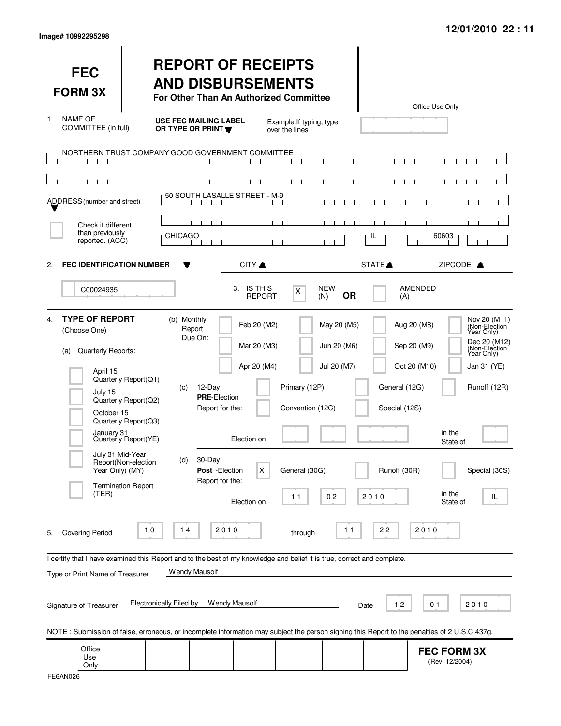|  | lmage# 10992295298 |
|--|--------------------|
|--|--------------------|

| <b>FEC</b><br><b>FORM 3X</b>                                                                                                                                                |                                                                                                                                                  | <b>REPORT OF RECEIPTS</b><br><b>AND DISBURSEMENTS</b><br>For Other Than An Authorized Committee                                                                                                                                                                                                                                  |                                                                                                                         |                                                                                                      | Office Use Only                                                                                                                                                                               |
|-----------------------------------------------------------------------------------------------------------------------------------------------------------------------------|--------------------------------------------------------------------------------------------------------------------------------------------------|----------------------------------------------------------------------------------------------------------------------------------------------------------------------------------------------------------------------------------------------------------------------------------------------------------------------------------|-------------------------------------------------------------------------------------------------------------------------|------------------------------------------------------------------------------------------------------|-----------------------------------------------------------------------------------------------------------------------------------------------------------------------------------------------|
| <b>NAME OF</b><br>$1_{-}$<br>COMMITTEE (in full)                                                                                                                            |                                                                                                                                                  | <b>USE FEC MAILING LABEL</b><br>OR TYPE OR PRINT                                                                                                                                                                                                                                                                                 | Example: If typing, type<br>over the lines                                                                              |                                                                                                      |                                                                                                                                                                                               |
|                                                                                                                                                                             | $\mathbf{1}$ $\mathbf{1}$ $\mathbf{1}$                                                                                                           | NORTHERN TRUST COMPANY GOOD GOVERNMENT COMMITTEE<br>$\mathbf{1}$ $\mathbf{1}$ $\mathbf{1}$<br>$\mathbf{1}$ $\mathbf{1}$ $\mathbf{1}$                                                                                                                                                                                             |                                                                                                                         |                                                                                                      |                                                                                                                                                                                               |
| ADDRESS (number and street)                                                                                                                                                 |                                                                                                                                                  | 50 SOUTH LASALLE STREET - M-9                                                                                                                                                                                                                                                                                                    |                                                                                                                         |                                                                                                      |                                                                                                                                                                                               |
| Check if different<br>than previously<br>reported. (ACC)                                                                                                                    | <b>CHICAGO</b>                                                                                                                                   |                                                                                                                                                                                                                                                                                                                                  |                                                                                                                         | IL.                                                                                                  | 60603                                                                                                                                                                                         |
| <b>FEC IDENTIFICATION NUMBER</b><br>2.                                                                                                                                      |                                                                                                                                                  | CITY A<br>Y                                                                                                                                                                                                                                                                                                                      |                                                                                                                         | STATE <sup>A</sup>                                                                                   | ZIPCODE A                                                                                                                                                                                     |
| C00024935                                                                                                                                                                   |                                                                                                                                                  | 3. IS THIS<br><b>REPORT</b>                                                                                                                                                                                                                                                                                                      | <b>NEW</b><br>X<br><b>OR</b><br>(N)                                                                                     | AMENDED<br>(A)                                                                                       |                                                                                                                                                                                               |
| <b>TYPE OF REPORT</b><br>4.<br>(Choose One)<br>Quarterly Reports:<br>(a)<br>April 15<br>July 15<br>October 15<br>January 31<br>July 31 Mid-Year<br>Year Only) (MY)<br>(TER) | Quarterly Report(Q1)<br>Quarterly Report(Q2)<br>Quarterly Report(Q3)<br>Quarterly Report(YE)<br>Report(Non-election<br><b>Termination Report</b> | (b) Monthly<br>Feb 20 (M2)<br>Report<br>Due On:<br>Mar 20 (M3)<br>Apr 20 (M4)<br>12-Day<br>(c)<br><b>PRE-Election</b><br>Report for the:<br>Election on<br>30-Day<br>(d)<br>X<br>Post - Election<br>Report for the:<br>Election on                                                                                               | May 20 (M5)<br>Jun 20 (M6)<br>Jul 20 (M7)<br>Primary (12P)<br>Convention (12C)<br>General (30G)<br>0 <sub>2</sub><br>11 | Aug 20 (M8)<br>Sep 20 (M9)<br>Oct 20 (M10)<br>General (12G)<br>Special (12S)<br>Runoff (30R)<br>2010 | Nov 20 (M11)<br>(Non-Election<br>Year Only)<br>Dec 20 (M12)<br>(Non-Election<br>Year Only)<br>Jan 31 (YE)<br>Runoff (12R)<br>in the<br>State of<br>Special (30S)<br>in the<br>IL.<br>State of |
| <b>Covering Period</b><br>5.<br>Type or Print Name of Treasurer<br>Signature of Treasurer                                                                                   | $10$<br><b>Electronically Filed by</b>                                                                                                           | 2010<br>$14$<br>I certify that I have examined this Report and to the best of my knowledge and belief it is true, correct and complete.<br>Wendy Mausolf<br><b>Wendy Mausolf</b><br>NOTE: Submission of false, erroneous, or incomplete information may subject the person signing this Report to the penalties of 2 U.S.C 437g. | 11<br>through                                                                                                           | 22<br>12<br>Date                                                                                     | 2010<br>01<br>2010                                                                                                                                                                            |
| Office<br>Use<br>Only                                                                                                                                                       |                                                                                                                                                  |                                                                                                                                                                                                                                                                                                                                  |                                                                                                                         |                                                                                                      | <b>FEC FORM 3X</b><br>(Rev. 12/2004)                                                                                                                                                          |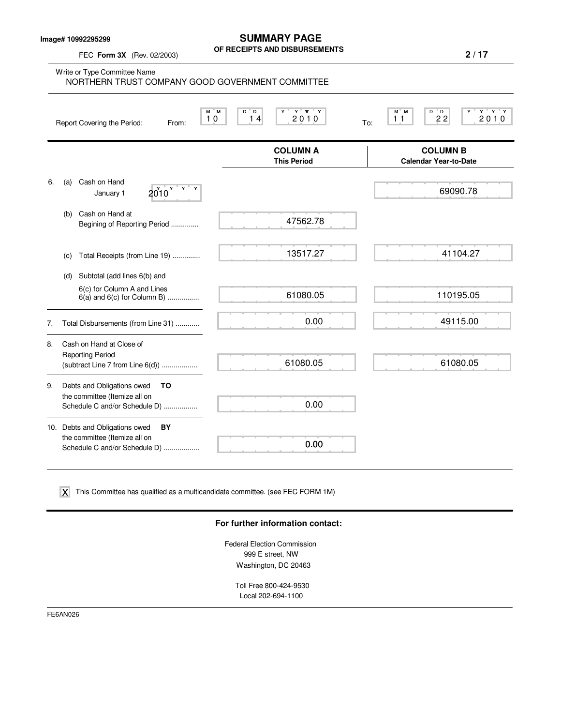**Image# 10992295299**

FEC **Form 3X** (Rev. 02/2003)

## **SUMMARY PAGE OF RECEIPTS AND DISBURSEMENTS**

**2 / 17**

Write or Type Committee Name M M D D Y Y YY Y M M D D Y Y Y Y Report Covering the Period: From: To: **COLUMN A** COLUMN B<br>
This Period Calendar Year-to-Da **Calendar Year-to-Date** 6. (a) Cash on Hand January 1  $2010^{\gamma}$ (b) Cash on Hand at Begining of Reporting Period .............. (c) Total Receipts (from Line 19) .............. (d) Subtotal (add lines 6(b) and 6(c) for Column A and Lines 6(a) and 6(c) for Column B) ................ 7. Total Disbursements (from Line 31) ............ 8. Cash on Hand at Close of Reporting Period (subtract Line 7 from Line 6(d)) .................. 9. Debts and Obligations owed **TO** the committee (Itemize all on Schedule C and/or Schedule D) ................. 10. Debts and Obligations owed **BY** the committee (Itemize all on Schedule C and/or Schedule D) .................. 10 14 2010 <sub>To</sub> 11 22 2010 NORTHERN TRUST COMPANY GOOD GOVERNMENT COMMITTEE 47562.78 13517.27 61080.05 0.00 61080.05 0.00 0.00  $2010^{\circ}$  69090.78 41104.27 110195.05 49115.00 61080.05

 $\boldsymbol{\mathsf{X}}$  This Committee has qualified as a multicandidate committee. (see FEC FORM 1M)

### **For further information contact:**

Federal Election Commission 999 E street, NW Washington, DC 20463

Toll Free 800-424-9530 Local 202-694-1100

FE6AN026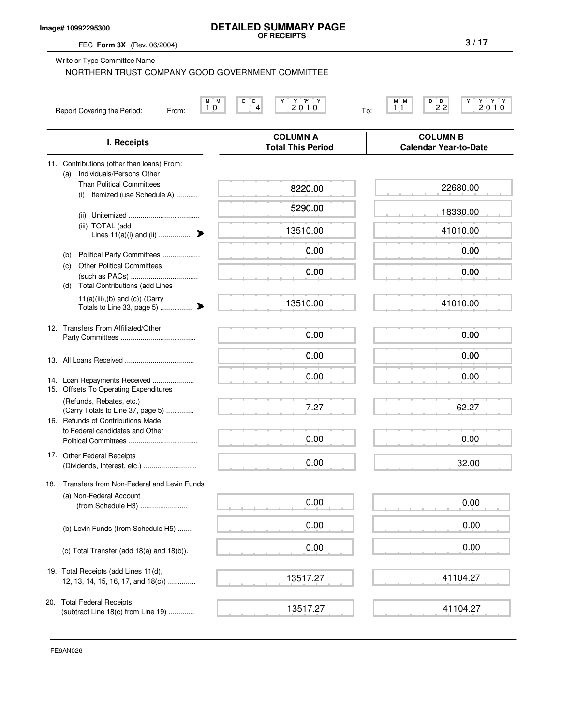### **Image# 10992295300**

# **DETAILED SUMMARY PAGE OF RECEIPTS**

FEC **Form 3X** (Rev. 06/2004)

(b) Political Party Committees ...................

(such as PACs) ..................................

(c) Other Political Committees

| Write or Type Committee Name<br>NORTHERN TRUST COMPANY GOOD GOVERNMENT COMMITTEE  |                                             |                                                                                                                                    |
|-----------------------------------------------------------------------------------|---------------------------------------------|------------------------------------------------------------------------------------------------------------------------------------|
| M<br>М<br>10<br>Report Covering the Period:<br>From:                              | 2010<br>D<br>D<br>14                        | $\begin{array}{c}\n\stackrel{\vee}{2} & \stackrel{\vee}{0} & \stackrel{\vee}{0}\n\end{array}$<br>M M<br>D<br>$2^{D}2$<br>11<br>To: |
| I. Receipts                                                                       | <b>COLUMN A</b><br><b>Total This Period</b> | <b>COLUMN B</b><br><b>Calendar Year-to-Date</b>                                                                                    |
| Contributions (other than loans) From:<br>11.<br>Individuals/Persons Other<br>(a) |                                             |                                                                                                                                    |
| <b>Than Political Committees</b><br>Itemized (use Schedule A)<br>(i)              | 8220.00                                     | 22680.00                                                                                                                           |
| (ii)                                                                              | 5290.00                                     | 18330.00                                                                                                                           |
| TOTAL (add<br>(iii)<br>Lines $11(a)(i)$ and $(ii)$                                | 13510.00                                    | 41010.00                                                                                                                           |

0.00

0.00

13517.27

13517.27

|                 | <b>Total Contributions (add Lines</b><br>(d)                                                   |          |
|-----------------|------------------------------------------------------------------------------------------------|----------|
|                 | $11(a)(iii),(b)$ and $(c)$ ) (Carry<br>Totals to Line 33, page 5)                              | 13510.00 |
| 12 <sub>1</sub> | Transfers From Affiliated/Other                                                                | 0.00     |
|                 |                                                                                                | 0.00     |
| 15.             | 14. Loan Repayments Received<br><b>Offsets To Operating Expenditures</b>                       | 0.00     |
| 16.             | (Refunds, Rebates, etc.)<br>(Carry Totals to Line 37, page 5)<br>Refunds of Contributions Made | 7.27     |
|                 | to Federal candidates and Other                                                                | 0.00     |
| 17.             | <b>Other Federal Receipts</b>                                                                  | 0.00     |
| 18.             | Transfers from Non-Federal and Levin Funds                                                     |          |
|                 | (a) Non-Federal Account<br>(from Schedule H3)                                                  | 0.00     |
|                 | (b) Levin Funds (from Schedule H5)                                                             | 0.00     |
|                 | (c) Total Transfer (add $18(a)$ and $18(b)$ ).                                                 | 0.00     |
|                 | 19. Total Receipts (add Lines 11(d),                                                           |          |

20. Total Federal Receipts (subtract Line 18(c) from Line 19) .............

12, 13, 14, 15, 16, 17, and 18(c)) ..............

|  |  |  | 0.00 |  |
|--|--|--|------|--|
|  |  |  | 0.00 |  |
|  |  |  | 0.00 |  |

41104.27

41104.27

0.00

0.00

0.00

0.00

0.00

62.27

0.00

32.00

41010.00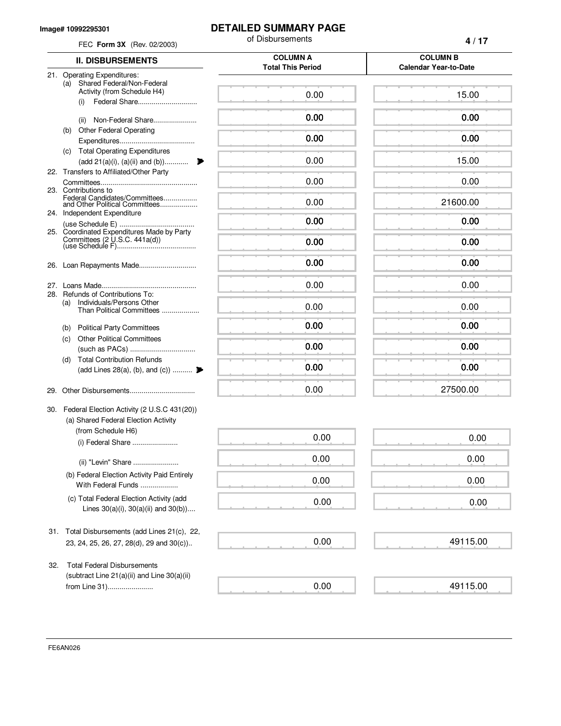#### **Image# 10992295301**

## **DETAILED SUMMARY PAGE**

of Disbursements

| FEC Form 3X (Rev. 02/2003) |                                                                                           | of Disbursements                            | 4/17                                            |
|----------------------------|-------------------------------------------------------------------------------------------|---------------------------------------------|-------------------------------------------------|
|                            | <b>II. DISBURSEMENTS</b>                                                                  | <b>COLUMN A</b><br><b>Total This Period</b> | <b>COLUMN B</b><br><b>Calendar Year-to-Date</b> |
|                            | 21. Operating Expenditures:<br>(a) Shared Federal/Non-Federal                             |                                             |                                                 |
|                            | Activity (from Schedule H4)<br>Federal Share<br>(i)                                       | 0.00                                        | 15.00                                           |
|                            | Non-Federal Share<br>(ii)                                                                 | 0.00                                        | 0.00                                            |
| (b)                        | <b>Other Federal Operating</b>                                                            | 0.00                                        | 0.00                                            |
| (c)                        | <b>Total Operating Expenditures</b><br>(add 21(a)(i), (a)(ii) and (b))                    | 0.00                                        | 15.00                                           |
|                            | 22. Transfers to Affiliated/Other Party<br>23. Contributions to                           | 0.00                                        | 0.00                                            |
|                            | Federal Candidates/Committees<br>and Other Political Committees                           | 0.00                                        | 21600.00                                        |
|                            | 24. Independent Expenditure                                                               | 0.00                                        | 0.00                                            |
|                            | 25. Coordinated Expenditures Made by Party                                                | 0.00                                        | 0.00                                            |
| 26.                        | Loan Repayments Made                                                                      | 0.00                                        | 0.00                                            |
| 27.                        | 28. Refunds of Contributions To:                                                          | 0.00                                        | 0.00                                            |
| (a)                        | Individuals/Persons Other<br>Than Political Committees                                    | 0.00                                        | 0.00                                            |
|                            | (b) Political Party Committees                                                            | 0.00                                        | 0.00                                            |
| (C)                        | <b>Other Political Committees</b>                                                         | 0.00                                        | 0.00                                            |
| (d)                        | <b>Total Contribution Refunds</b><br>(add Lines 28(a), (b), and (c))                      | 0.00                                        | 0.00                                            |
|                            |                                                                                           | 0.00                                        | 27500.00                                        |
|                            | 30. Federal Election Activity (2 U.S.C 431(20))<br>(a) Shared Federal Election Activity   |                                             |                                                 |
|                            | (from Schedule H6)<br>(i) Federal Share                                                   | 0.00                                        | 0.00                                            |
|                            | (ii) "Levin" Share                                                                        | 0.00                                        | 0.00                                            |
|                            | (b) Federal Election Activity Paid Entirely<br>With Federal Funds                         | 0.00                                        | 0.00                                            |
|                            | (c) Total Federal Election Activity (add<br>Lines $30(a)(i)$ , $30(a)(ii)$ and $30(b)$ )  | 0.00                                        | 0.00                                            |
|                            | 31. Total Disbursements (add Lines 21(c), 22,<br>23, 24, 25, 26, 27, 28(d), 29 and 30(c)) | 0.00                                        | 49115.00                                        |
| 32.                        | <b>Total Federal Disbursements</b>                                                        |                                             |                                                 |
|                            | (subtract Line 21(a)(ii) and Line 30(a)(ii)<br>from Line 31)                              | 0.00                                        | 49115.00                                        |
|                            |                                                                                           |                                             |                                                 |

FE6AN026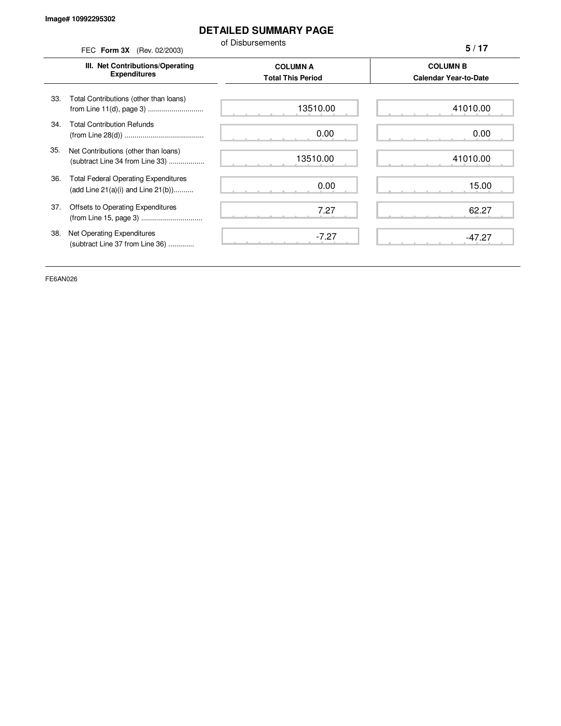# **DETAILED SUMMARY PAGE**

of Disbursements

FEC **Form 3X** (Rev. 02/2003) **III. Net Contributions/Operating Expenditures COLUMN A COLUMN B Total This Period Calendar Year-to-Date** from Line 11(d), page 3) ............................ 33. Total Contributions (other than loans) 34. Total Contribution Refunds (from Line 28(d)) ........................................ 35. Net Contributions (other than loans) (subtract Line 34 from Line 33) .................. 36. Total Federal Operating Expenditures (add Line 21(a)(i) and Line 21(b)).......... 37. Offsets to Operating Expenditures (from Line 15, page 3) ............................... 38. Net Operating Expenditures (subtract Line 37 from Line 36) ............. **5 / 17** 13510.00 0.00 13510.00 0.00 7.27 -7.27 41010.00 0.00 41010.00 15.00 62.27 -47.27

FE6AN026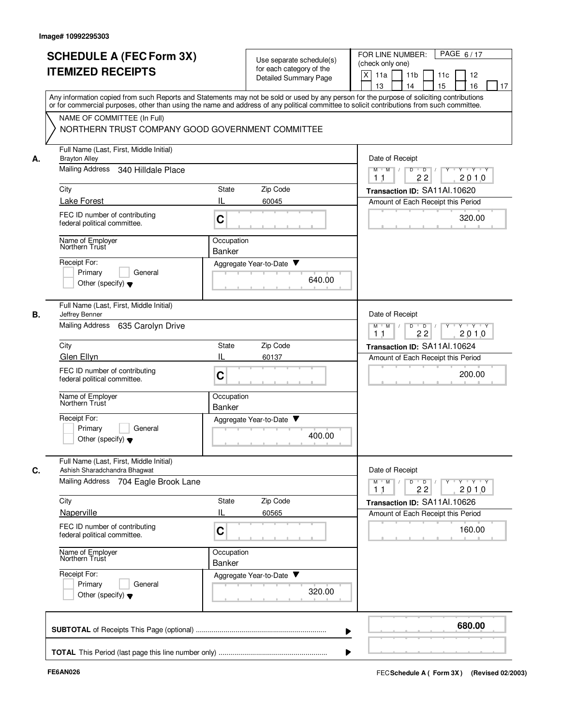|    | <b>SCHEDULE A (FEC Form 3X)</b><br><b>ITEMIZED RECEIPTS</b>                                       | Use separate schedule(s)<br>for each category of the<br><b>Detailed Summary Page</b>                                                                                                                                                                                                    | PAGE 6/17<br>FOR LINE NUMBER:<br>(check only one)<br>X<br>11a<br>11 <sub>b</sub><br>11c<br>12<br>13<br>14<br>15<br>16<br>17 |
|----|---------------------------------------------------------------------------------------------------|-----------------------------------------------------------------------------------------------------------------------------------------------------------------------------------------------------------------------------------------------------------------------------------------|-----------------------------------------------------------------------------------------------------------------------------|
|    |                                                                                                   | Any information copied from such Reports and Statements may not be sold or used by any person for the purpose of soliciting contributions<br>or for commercial purposes, other than using the name and address of any political committee to solicit contributions from such committee. |                                                                                                                             |
|    | NAME OF COMMITTEE (In Full)<br>NORTHERN TRUST COMPANY GOOD GOVERNMENT COMMITTEE                   |                                                                                                                                                                                                                                                                                         |                                                                                                                             |
| А. | Full Name (Last, First, Middle Initial)<br><b>Brayton Alley</b>                                   |                                                                                                                                                                                                                                                                                         | Date of Receipt                                                                                                             |
|    | Mailing Address<br>340 Hilldale Place                                                             |                                                                                                                                                                                                                                                                                         | Y Y Y Y<br>$M$ $M$ /<br>D<br>$\overline{D}$ /<br>$Y$ <sup>U</sup><br>2010<br>1 <sub>1</sub><br>22                           |
|    | City                                                                                              | Zip Code<br>State                                                                                                                                                                                                                                                                       | Transaction ID: SA11Al.10620                                                                                                |
|    | <b>Lake Forest</b><br>FEC ID number of contributing<br>federal political committee.               | IL<br>60045<br>C                                                                                                                                                                                                                                                                        | Amount of Each Receipt this Period<br>320.00                                                                                |
|    | Name of Employer<br>Northern Trust                                                                | Occupation<br><b>Banker</b>                                                                                                                                                                                                                                                             |                                                                                                                             |
|    | Receipt For:<br>Primary<br>General<br>Other (specify) $\blacktriangledown$                        | Aggregate Year-to-Date ▼<br>640.00                                                                                                                                                                                                                                                      |                                                                                                                             |
| В. | Full Name (Last, First, Middle Initial)<br>Jeffrey Benner<br>Mailing Address<br>635 Carolyn Drive |                                                                                                                                                                                                                                                                                         | Date of Receipt<br>D<br>$\overline{D}$<br>$Y \vdash Y \vdash Y$<br>$M$ M<br>$\sqrt{ }$                                      |
|    | City                                                                                              | Zip Code<br>State                                                                                                                                                                                                                                                                       | 2010<br>1 <sub>1</sub><br>22<br>Transaction ID: SA11Al.10624                                                                |
|    | Glen Ellyn                                                                                        | IL<br>60137                                                                                                                                                                                                                                                                             | Amount of Each Receipt this Period                                                                                          |
|    | FEC ID number of contributing<br>federal political committee.                                     | C                                                                                                                                                                                                                                                                                       | 200.00                                                                                                                      |
|    | Name of Employer<br>Northern Trust                                                                | Occupation<br><b>Banker</b>                                                                                                                                                                                                                                                             |                                                                                                                             |
|    | Receipt For:<br>Primary<br>General<br>Other (specify) $\blacktriangledown$                        | Aggregate Year-to-Date ▼<br>400.00                                                                                                                                                                                                                                                      |                                                                                                                             |
| С. | Full Name (Last, First, Middle Initial)<br>Ashish Sharadchandra Bhagwat                           |                                                                                                                                                                                                                                                                                         | Date of Receipt                                                                                                             |
|    | Mailing Address 704 Eagle Brook Lane                                                              |                                                                                                                                                                                                                                                                                         | $Y$ $Y$ $Y$<br>$M$ $M$<br>D<br>$\overline{D}$<br>22<br>2010<br>11                                                           |
|    | City                                                                                              | Zip Code<br>State                                                                                                                                                                                                                                                                       | Transaction ID: SA11Al.10626                                                                                                |
|    | Naperville<br>FEC ID number of contributing<br>federal political committee.                       | IL<br>60565<br>C                                                                                                                                                                                                                                                                        | Amount of Each Receipt this Period<br>160.00                                                                                |
|    | Name of Employer<br>Northern Trust                                                                | Occupation<br>Banker                                                                                                                                                                                                                                                                    |                                                                                                                             |
|    | Receipt For:<br>Primary<br>General<br>Other (specify) $\blacktriangledown$                        | Aggregate Year-to-Date<br>320.00                                                                                                                                                                                                                                                        |                                                                                                                             |
|    |                                                                                                   |                                                                                                                                                                                                                                                                                         | 680.00                                                                                                                      |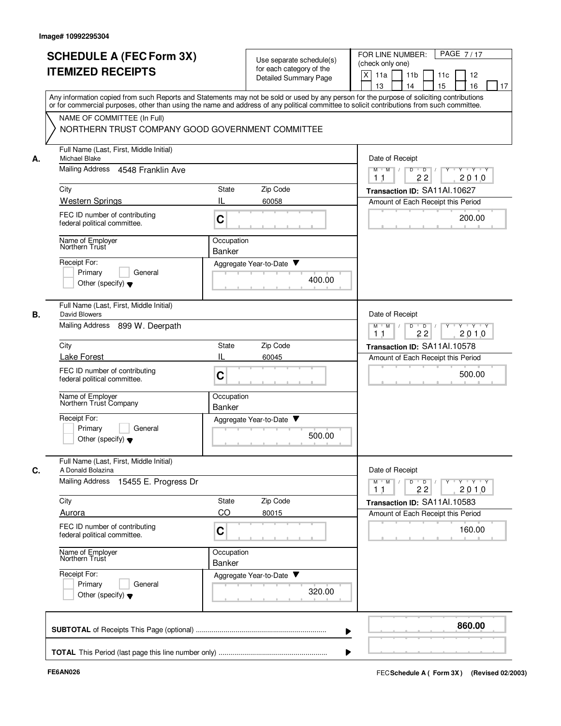| <b>SCHEDULE A (FEC Form 3X)</b><br><b>ITEMIZED RECEIPTS</b>                                                                                                                                                                                                                                                                                               | Use separate schedule(s)<br>for each category of the<br><b>Detailed Summary Page</b>                                                                                                                                                                                                                                                        | PAGE 7/17<br>FOR LINE NUMBER:<br>(check only one)<br>X<br>11a<br>11 <sub>b</sub><br>12<br>11c<br>15<br>16<br>13<br>14<br>17                                                                  |
|-----------------------------------------------------------------------------------------------------------------------------------------------------------------------------------------------------------------------------------------------------------------------------------------------------------------------------------------------------------|---------------------------------------------------------------------------------------------------------------------------------------------------------------------------------------------------------------------------------------------------------------------------------------------------------------------------------------------|----------------------------------------------------------------------------------------------------------------------------------------------------------------------------------------------|
| NAME OF COMMITTEE (In Full)                                                                                                                                                                                                                                                                                                                               | Any information copied from such Reports and Statements may not be sold or used by any person for the purpose of soliciting contributions<br>or for commercial purposes, other than using the name and address of any political committee to solicit contributions from such committee.<br>NORTHERN TRUST COMPANY GOOD GOVERNMENT COMMITTEE |                                                                                                                                                                                              |
| Full Name (Last, First, Middle Initial)<br>Michael Blake<br>А.<br>Mailing Address 4548 Franklin Ave<br>City<br><b>Western Springs</b><br>FEC ID number of contributing<br>federal political committee.<br>Name of Employer<br>Northern Trust<br>Receipt For:<br>Primary<br>General<br>Other (specify) $\blacktriangledown$                                | Zip Code<br>State<br>IL<br>60058<br>C<br>Occupation<br><b>Banker</b><br>Aggregate Year-to-Date ▼<br>400.00                                                                                                                                                                                                                                  | Date of Receipt<br>$M$ $M$ /<br>D<br>$\overline{D}$ /<br>$Y \vdash Y \vdash Y$<br>22<br>2010<br>11<br>Transaction ID: SA11Al.10627<br>Amount of Each Receipt this Period<br>200.00           |
| Full Name (Last, First, Middle Initial)<br>В.<br>David Blowers<br>Mailing Address<br>899 W. Deerpath<br>City<br><b>Lake Forest</b><br>FEC ID number of contributing<br>federal political committee.<br>Name of Employer<br>Northern Trust Company<br>Receipt For:<br>Primary<br>General                                                                   | Zip Code<br>State<br>IL<br>60045<br>C<br>Occupation<br><b>Banker</b><br>Aggregate Year-to-Date ▼<br>500.00                                                                                                                                                                                                                                  | Date of Receipt<br>$Y + Y + Y$<br>D<br>$\overline{D}$<br>$M$ M<br>$\sqrt{ }$<br>22<br>2010<br>1 <sub>1</sub><br>Transaction ID: SA11Al.10578<br>Amount of Each Receipt this Period<br>500.00 |
| Other (specify) $\blacktriangledown$<br>Full Name (Last, First, Middle Initial)<br>A Donald Bolazina<br>С.<br>Mailing Address 15455 E. Progress Dr<br>City<br>Aurora<br>FEC ID number of contributing<br>federal political committee.<br>Name of Employer<br>Northern Trust<br>Receipt For:<br>Primary<br>General<br>Other (specify) $\blacktriangledown$ | Zip Code<br>State<br>CO<br>80015<br>C<br>Occupation<br><b>Banker</b><br>Aggregate Year-to-Date<br>320.00                                                                                                                                                                                                                                    | Date of Receipt<br>$Y$ $Y$ $Y$<br>$M$ M<br>D<br>$\overline{D}$<br>Y<br>2010<br>22<br>11<br>Transaction ID: SA11Al.10583<br>Amount of Each Receipt this Period<br>160.00                      |
|                                                                                                                                                                                                                                                                                                                                                           |                                                                                                                                                                                                                                                                                                                                             | 860.00                                                                                                                                                                                       |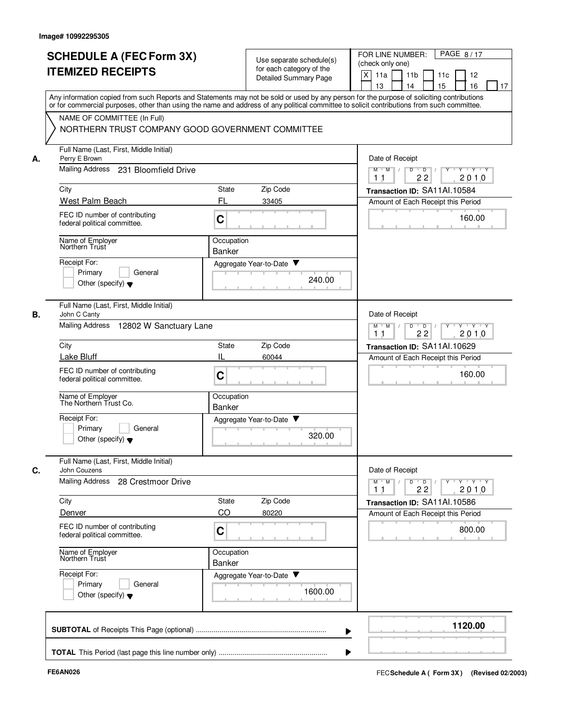|    | <b>SCHEDULE A (FEC Form 3X)</b>                                                                                                                                                                                                                                                         |                      | Use separate schedule(s)                          | PAGE 8/17<br>FOR LINE NUMBER:                                                                                                            |
|----|-----------------------------------------------------------------------------------------------------------------------------------------------------------------------------------------------------------------------------------------------------------------------------------------|----------------------|---------------------------------------------------|------------------------------------------------------------------------------------------------------------------------------------------|
|    | <b>ITEMIZED RECEIPTS</b>                                                                                                                                                                                                                                                                |                      | for each category of the<br>Detailed Summary Page | (check only one)<br>X<br>11a<br>11 <sub>b</sub><br>11c<br>12<br>15<br>13<br>14<br>16<br>17                                               |
|    | Any information copied from such Reports and Statements may not be sold or used by any person for the purpose of soliciting contributions<br>or for commercial purposes, other than using the name and address of any political committee to solicit contributions from such committee. |                      |                                                   |                                                                                                                                          |
|    | NAME OF COMMITTEE (In Full)<br>NORTHERN TRUST COMPANY GOOD GOVERNMENT COMMITTEE                                                                                                                                                                                                         |                      |                                                   |                                                                                                                                          |
| А. | Full Name (Last, First, Middle Initial)<br>Perry E Brown                                                                                                                                                                                                                                |                      |                                                   | Date of Receipt                                                                                                                          |
|    | Mailing Address 231 Bloomfield Drive                                                                                                                                                                                                                                                    |                      |                                                   | $M$ $M$ /<br>D<br>$\overline{D}$ /<br>$Y - Y - Y$<br>22<br>2010<br>11                                                                    |
|    | City                                                                                                                                                                                                                                                                                    | State                | Zip Code                                          | Transaction ID: SA11Al.10584                                                                                                             |
|    | West Palm Beach                                                                                                                                                                                                                                                                         | FL                   | 33405                                             | Amount of Each Receipt this Period                                                                                                       |
|    | FEC ID number of contributing<br>federal political committee.                                                                                                                                                                                                                           | C                    |                                                   | 160.00                                                                                                                                   |
|    | Name of Employer<br>Northern Trust                                                                                                                                                                                                                                                      | Occupation<br>Banker |                                                   |                                                                                                                                          |
|    | Receipt For:                                                                                                                                                                                                                                                                            |                      | Aggregate Year-to-Date ▼                          |                                                                                                                                          |
|    | Primary<br>General<br>Other (specify) $\blacktriangledown$                                                                                                                                                                                                                              |                      | 240.00                                            |                                                                                                                                          |
| В. | Full Name (Last, First, Middle Initial)<br>John C Canty                                                                                                                                                                                                                                 |                      |                                                   | Date of Receipt                                                                                                                          |
|    | <b>Mailing Address</b><br>12802 W Sanctuary Lane                                                                                                                                                                                                                                        |                      |                                                   | $Y$ $Y$ $Y$<br>$M$ M<br>D<br>$\overline{D}$<br>Y<br>2010<br>1 <sub>1</sub><br>22                                                         |
|    | City                                                                                                                                                                                                                                                                                    | <b>State</b>         | Zip Code                                          | Transaction ID: SA11AI.10629                                                                                                             |
|    | Lake Bluff                                                                                                                                                                                                                                                                              | IL                   | 60044                                             | Amount of Each Receipt this Period                                                                                                       |
|    | FEC ID number of contributing<br>federal political committee.                                                                                                                                                                                                                           | C                    |                                                   | 160.00                                                                                                                                   |
|    | Name of Employer<br>The Northern Trust Co.                                                                                                                                                                                                                                              | Occupation<br>Banker |                                                   |                                                                                                                                          |
|    | Receipt For:<br>Primary<br>General<br>Other (specify) $\blacktriangledown$                                                                                                                                                                                                              |                      | Aggregate Year-to-Date<br>320.00                  |                                                                                                                                          |
| C. | Full Name (Last, First, Middle Initial)<br>John Couzens                                                                                                                                                                                                                                 |                      |                                                   | Date of Receipt                                                                                                                          |
|    | <b>Mailing Address</b><br>28 Crestmoor Drive                                                                                                                                                                                                                                            |                      |                                                   | $\mathsf{Y} \dashv \mathsf{Y} \dashv \mathsf{Y} \dashv \mathsf{Y}$<br>$M$ $M$ $/$<br>$\overline{D}$<br>D<br>22<br>2010<br>1 <sub>1</sub> |
|    | City                                                                                                                                                                                                                                                                                    | State                | Zip Code                                          | Transaction ID: SA11Al.10586                                                                                                             |
|    | Denver                                                                                                                                                                                                                                                                                  | CO                   | 80220                                             | Amount of Each Receipt this Period                                                                                                       |
|    | FEC ID number of contributing<br>federal political committee.                                                                                                                                                                                                                           | C                    |                                                   | 800.00                                                                                                                                   |
|    | Name of Employer<br>Northern Trust                                                                                                                                                                                                                                                      | Occupation<br>Banker |                                                   |                                                                                                                                          |
|    | Receipt For:<br>Primary<br>General<br>Other (specify) $\blacktriangledown$                                                                                                                                                                                                              |                      | Aggregate Year-to-Date<br>1600.00                 |                                                                                                                                          |
|    |                                                                                                                                                                                                                                                                                         |                      |                                                   | 1120.00                                                                                                                                  |
|    |                                                                                                                                                                                                                                                                                         |                      |                                                   |                                                                                                                                          |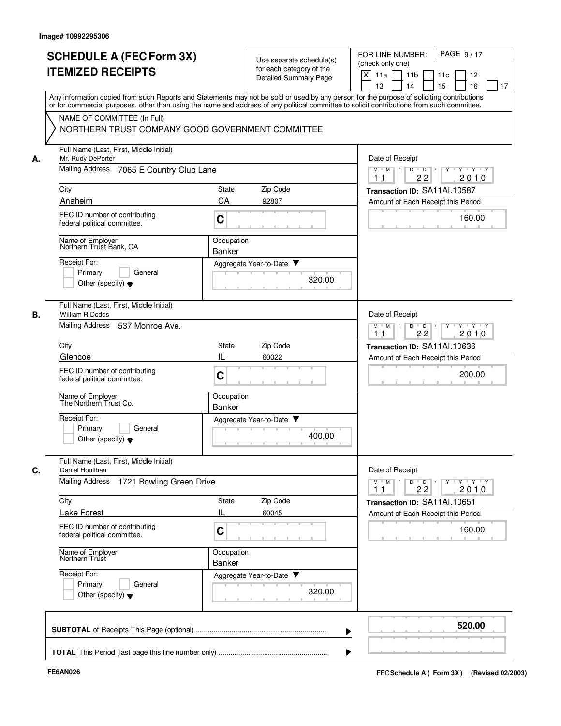|    | <b>SCHEDULE A (FEC Form 3X)</b><br><b>ITEMIZED RECEIPTS</b>                | Use separate schedule(s)<br>for each category of the<br>Detailed Summary Page | PAGE 9/17<br>FOR LINE NUMBER:<br>(check only one)<br>X<br>11a<br>11 <sub>b</sub><br>11c<br>12<br>13<br>14<br>15<br>16<br>17                                                                                                                                                             |
|----|----------------------------------------------------------------------------|-------------------------------------------------------------------------------|-----------------------------------------------------------------------------------------------------------------------------------------------------------------------------------------------------------------------------------------------------------------------------------------|
|    | NAME OF COMMITTEE (In Full)                                                |                                                                               | Any information copied from such Reports and Statements may not be sold or used by any person for the purpose of soliciting contributions<br>or for commercial purposes, other than using the name and address of any political committee to solicit contributions from such committee. |
|    | NORTHERN TRUST COMPANY GOOD GOVERNMENT COMMITTEE                           |                                                                               |                                                                                                                                                                                                                                                                                         |
| А. | Full Name (Last, First, Middle Initial)<br>Mr. Rudy DePorter               |                                                                               | Date of Receipt                                                                                                                                                                                                                                                                         |
|    | <b>Mailing Address</b><br>7065 E Country Club Lane                         |                                                                               | $M$ $M$<br>D<br>$\overline{D}$<br>Y Y Y Y<br>2010<br>1 <sub>1</sub><br>22                                                                                                                                                                                                               |
|    | City                                                                       | Zip Code<br>State                                                             | Transaction ID: SA11Al.10587                                                                                                                                                                                                                                                            |
|    | Anaheim                                                                    | CA<br>92807                                                                   | Amount of Each Receipt this Period                                                                                                                                                                                                                                                      |
|    | FEC ID number of contributing<br>federal political committee.              | C                                                                             | 160.00<br>- 80                                                                                                                                                                                                                                                                          |
|    | Name of Employer<br>Northern Trust Bank, CA                                | Occupation<br><b>Banker</b>                                                   |                                                                                                                                                                                                                                                                                         |
|    | Receipt For:<br>Primary<br>General                                         | Aggregate Year-to-Date ▼                                                      |                                                                                                                                                                                                                                                                                         |
|    | Other (specify) $\blacktriangledown$                                       |                                                                               | 320.00                                                                                                                                                                                                                                                                                  |
| В. | Full Name (Last, First, Middle Initial)<br>William R Dodds                 |                                                                               | Date of Receipt                                                                                                                                                                                                                                                                         |
|    | Mailing Address<br>537 Monroe Ave.                                         |                                                                               | $Y + Y + Y$<br>M<br>M<br>D<br>$\mathsf D$<br>22<br>2010<br>11                                                                                                                                                                                                                           |
|    | City                                                                       | State<br>Zip Code                                                             | Transaction ID: SA11AI.10636                                                                                                                                                                                                                                                            |
|    | Glencoe                                                                    | IL<br>60022                                                                   | Amount of Each Receipt this Period                                                                                                                                                                                                                                                      |
|    | FEC ID number of contributing<br>federal political committee.              | C                                                                             | 200.00                                                                                                                                                                                                                                                                                  |
|    | Name of Employer<br>The Northern Trust Co.                                 | Occupation<br>Banker                                                          |                                                                                                                                                                                                                                                                                         |
|    | Receipt For:<br>Primary<br>General<br>Other (specify) $\blacktriangledown$ | Aggregate Year-to-Date                                                        | 400.00                                                                                                                                                                                                                                                                                  |
| C. | Full Name (Last, First, Middle Initial)<br>Daniel Houlihan                 |                                                                               | Date of Receipt                                                                                                                                                                                                                                                                         |
|    | <b>Mailing Address</b><br>1721 Bowling Green Drive                         |                                                                               | $Y + Y + Y$<br>$M$ $M$<br>D<br>$\overline{D}$<br>2010<br>22<br>11                                                                                                                                                                                                                       |
|    | City                                                                       | Zip Code<br>State                                                             | Transaction ID: SA11Al.10651                                                                                                                                                                                                                                                            |
|    | <b>Lake Forest</b>                                                         | IL<br>60045                                                                   | Amount of Each Receipt this Period                                                                                                                                                                                                                                                      |
|    | FEC ID number of contributing<br>federal political committee.              | C                                                                             | 160.00                                                                                                                                                                                                                                                                                  |
|    | Name of Employer<br>Northern Trust                                         | Occupation<br><b>Banker</b>                                                   |                                                                                                                                                                                                                                                                                         |
|    | Receipt For:<br>Primary<br>General<br>Other (specify) $\blacktriangledown$ | Aggregate Year-to-Date ▼                                                      | 320.00                                                                                                                                                                                                                                                                                  |
|    |                                                                            |                                                                               | 520.00                                                                                                                                                                                                                                                                                  |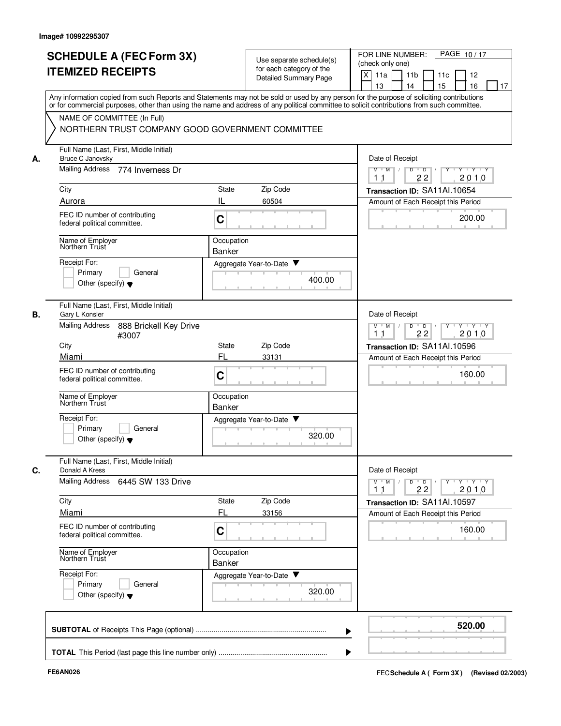|    | <b>SCHEDULE A (FEC Form 3X)</b><br><b>ITEMIZED RECEIPTS</b>                                                                                                                                                                                                                             | Use separate schedule(s)<br>for each category of the<br><b>Detailed Summary Page</b> | PAGE 10/17<br>FOR LINE NUMBER:<br>(check only one)<br>$\times$<br>11a<br>11 <sub>b</sub><br>11c<br>12<br>15<br>13<br>14<br>16<br>17                                                    |
|----|-----------------------------------------------------------------------------------------------------------------------------------------------------------------------------------------------------------------------------------------------------------------------------------------|--------------------------------------------------------------------------------------|----------------------------------------------------------------------------------------------------------------------------------------------------------------------------------------|
|    | Any information copied from such Reports and Statements may not be sold or used by any person for the purpose of soliciting contributions<br>or for commercial purposes, other than using the name and address of any political committee to solicit contributions from such committee. |                                                                                      |                                                                                                                                                                                        |
|    | NAME OF COMMITTEE (In Full)<br>NORTHERN TRUST COMPANY GOOD GOVERNMENT COMMITTEE                                                                                                                                                                                                         |                                                                                      |                                                                                                                                                                                        |
| А. | Full Name (Last, First, Middle Initial)<br>Bruce C Janovsky                                                                                                                                                                                                                             |                                                                                      | Date of Receipt                                                                                                                                                                        |
|    | Mailing Address 774 Inverness Dr                                                                                                                                                                                                                                                        |                                                                                      | $M$ $M$ /<br>$D$ $D$ $/$<br>$Y$ <sup>U</sup><br>Y Y Y Y<br>22<br>2010<br>11                                                                                                            |
|    | City                                                                                                                                                                                                                                                                                    | Zip Code<br>State                                                                    | Transaction ID: SA11Al.10654                                                                                                                                                           |
|    | Aurora                                                                                                                                                                                                                                                                                  | Ш<br>60504                                                                           | Amount of Each Receipt this Period                                                                                                                                                     |
|    | FEC ID number of contributing<br>federal political committee.                                                                                                                                                                                                                           | C                                                                                    | 200.00                                                                                                                                                                                 |
|    | Name of Employer<br>Northern Trust                                                                                                                                                                                                                                                      | Occupation<br><b>Banker</b>                                                          |                                                                                                                                                                                        |
|    | Receipt For:                                                                                                                                                                                                                                                                            | Aggregate Year-to-Date ▼                                                             |                                                                                                                                                                                        |
|    | Primary<br>General<br>Other (specify) $\blacktriangledown$                                                                                                                                                                                                                              | 400.00                                                                               |                                                                                                                                                                                        |
| В. | Full Name (Last, First, Middle Initial)<br>Gary L Konsler                                                                                                                                                                                                                               |                                                                                      | Date of Receipt                                                                                                                                                                        |
|    | <b>Mailing Address</b><br>888 Brickell Key Drive<br>#3007                                                                                                                                                                                                                               |                                                                                      | $Y - Y - Y - Y$<br>M<br>M<br>D<br>$\overline{\phantom{0}}$<br>2010<br>11<br>22                                                                                                         |
|    | City                                                                                                                                                                                                                                                                                    | Zip Code<br><b>State</b>                                                             | Transaction ID: SA11Al.10596                                                                                                                                                           |
|    | Miami                                                                                                                                                                                                                                                                                   | FL<br>33131                                                                          | Amount of Each Receipt this Period                                                                                                                                                     |
|    | FEC ID number of contributing<br>federal political committee.                                                                                                                                                                                                                           | C                                                                                    | 160.00                                                                                                                                                                                 |
|    | Name of Employer<br>Northern Trust                                                                                                                                                                                                                                                      | Occupation<br><b>Banker</b>                                                          |                                                                                                                                                                                        |
|    | Receipt For:<br>Primary<br>General<br>Other (specify) $\blacktriangledown$                                                                                                                                                                                                              | Aggregate Year-to-Date<br>320.00                                                     |                                                                                                                                                                                        |
| C. | Full Name (Last, First, Middle Initial)<br>Donald A Kress                                                                                                                                                                                                                               |                                                                                      | Date of Receipt                                                                                                                                                                        |
|    | Mailing Address 6445 SW 133 Drive                                                                                                                                                                                                                                                       |                                                                                      | $\mathsf{Y} \dashv \mathsf{Y} \dashv \mathsf{Y} \dashv \mathsf{Y}$<br>$\blacksquare$ $\blacksquare$ $\blacksquare$ $\blacksquare$ $\blacksquare$<br>$M$ $M$ /<br>D<br>2010<br>22<br>11 |
|    | City<br>Miami                                                                                                                                                                                                                                                                           | Zip Code<br>State<br>FL<br>33156                                                     | Transaction ID: SA11Al.10597<br>Amount of Each Receipt this Period                                                                                                                     |
|    | FEC ID number of contributing<br>federal political committee.                                                                                                                                                                                                                           | C                                                                                    | 160.00                                                                                                                                                                                 |
|    | Name of Employer<br>Northern Trust                                                                                                                                                                                                                                                      | Occupation<br>Banker                                                                 |                                                                                                                                                                                        |
|    | Receipt For:<br>Primary<br>General<br>Other (specify) $\blacktriangledown$                                                                                                                                                                                                              | Aggregate Year-to-Date<br>320.00                                                     |                                                                                                                                                                                        |
|    |                                                                                                                                                                                                                                                                                         |                                                                                      | 520.00                                                                                                                                                                                 |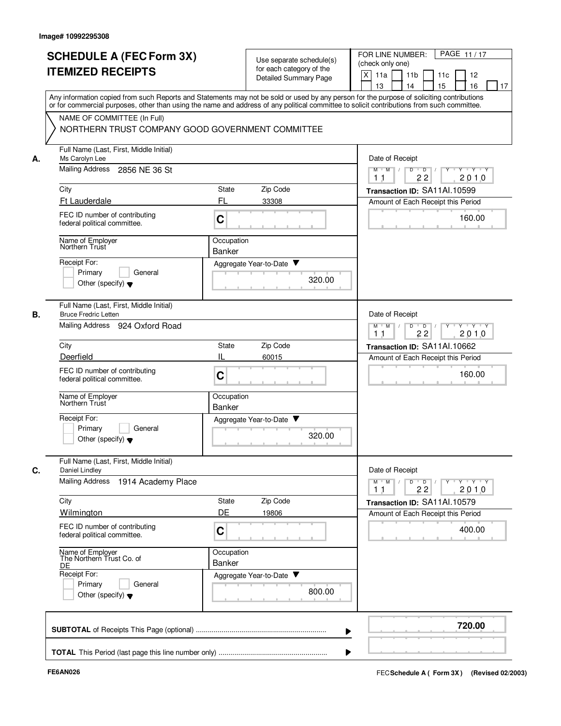|    | <b>SCHEDULE A (FEC Form 3X)</b><br><b>ITEMIZED RECEIPTS</b>                                                                                                                                                                                                                             |                             | Use separate schedule(s)<br>for each category of the | PAGE 11/17<br>FOR LINE NUMBER:<br>(check only one)                                                                    |
|----|-----------------------------------------------------------------------------------------------------------------------------------------------------------------------------------------------------------------------------------------------------------------------------------------|-----------------------------|------------------------------------------------------|-----------------------------------------------------------------------------------------------------------------------|
|    |                                                                                                                                                                                                                                                                                         |                             | Detailed Summary Page                                | X<br>11 <sub>b</sub><br>11a<br>11c<br>12<br>15<br>13<br>14<br>16<br>17                                                |
|    | Any information copied from such Reports and Statements may not be sold or used by any person for the purpose of soliciting contributions<br>or for commercial purposes, other than using the name and address of any political committee to solicit contributions from such committee. |                             |                                                      |                                                                                                                       |
|    | NAME OF COMMITTEE (In Full)<br>NORTHERN TRUST COMPANY GOOD GOVERNMENT COMMITTEE                                                                                                                                                                                                         |                             |                                                      |                                                                                                                       |
| А. | Full Name (Last, First, Middle Initial)<br>Ms Carolyn Lee                                                                                                                                                                                                                               |                             |                                                      | Date of Receipt                                                                                                       |
|    | <b>Mailing Address</b><br>2856 NE 36 St                                                                                                                                                                                                                                                 |                             |                                                      | y y y y y y<br>$M$ $M$ /<br>D<br>$\overline{D}$ /<br>22<br>2010<br>11                                                 |
|    | City                                                                                                                                                                                                                                                                                    | State                       | Zip Code                                             | Transaction ID: SA11Al.10599                                                                                          |
|    | Ft Lauderdale<br>FEC ID number of contributing<br>federal political committee.                                                                                                                                                                                                          | FL<br>C                     | 33308                                                | Amount of Each Receipt this Period<br>160.00                                                                          |
|    | Name of Employer<br>Northern Trust                                                                                                                                                                                                                                                      | Occupation<br>Banker        |                                                      |                                                                                                                       |
|    | Receipt For:                                                                                                                                                                                                                                                                            |                             | Aggregate Year-to-Date ▼                             |                                                                                                                       |
|    | Primary<br>General<br>Other (specify) $\blacktriangledown$                                                                                                                                                                                                                              |                             | 320.00                                               |                                                                                                                       |
| В. | Full Name (Last, First, Middle Initial)<br><b>Bruce Fredric Letten</b>                                                                                                                                                                                                                  |                             |                                                      | Date of Receipt                                                                                                       |
|    | Mailing Address<br>924 Oxford Road                                                                                                                                                                                                                                                      |                             |                                                      | $Y$ $Y$ $Y$<br>$M$ M<br>D<br>$\overline{D}$<br>2010<br>1 <sub>1</sub><br>22                                           |
|    | City                                                                                                                                                                                                                                                                                    | State                       | Zip Code                                             | Transaction ID: SA11Al.10662                                                                                          |
|    | Deerfield                                                                                                                                                                                                                                                                               | IL                          | 60015                                                | Amount of Each Receipt this Period                                                                                    |
|    | FEC ID number of contributing<br>federal political committee.                                                                                                                                                                                                                           | C                           |                                                      | 160.00                                                                                                                |
|    | Name of Employer<br>Northern Trust                                                                                                                                                                                                                                                      | Occupation<br><b>Banker</b> |                                                      |                                                                                                                       |
|    | Receipt For:<br>Primary<br>General<br>Other (specify) $\blacktriangledown$                                                                                                                                                                                                              |                             | Aggregate Year-to-Date<br>320.00                     |                                                                                                                       |
| C. | Full Name (Last, First, Middle Initial)<br>Daniel Lindley                                                                                                                                                                                                                               |                             |                                                      | Date of Receipt                                                                                                       |
|    | Mailing Address 1914 Academy Place                                                                                                                                                                                                                                                      |                             |                                                      | $\mathsf{Y} \dashv \mathsf{Y} \dashv \mathsf{Y}$<br>$M$ M<br>D<br>$\overline{D}$<br>Y<br>2010<br>1 <sub>1</sub><br>22 |
|    | City                                                                                                                                                                                                                                                                                    | State                       | Zip Code                                             | Transaction ID: SA11Al.10579                                                                                          |
|    | Wilmington<br>FEC ID number of contributing                                                                                                                                                                                                                                             | DE                          | 19806                                                | Amount of Each Receipt this Period                                                                                    |
|    | federal political committee.                                                                                                                                                                                                                                                            | C                           |                                                      | 400.00                                                                                                                |
|    | Name of Employer<br>The Northern Trust Co. of<br>DE                                                                                                                                                                                                                                     | Occupation<br>Banker        |                                                      |                                                                                                                       |
|    | Receipt For:<br>Primary<br>General<br>Other (specify) $\blacktriangledown$                                                                                                                                                                                                              |                             | Aggregate Year-to-Date<br>800.00                     |                                                                                                                       |
|    |                                                                                                                                                                                                                                                                                         |                             |                                                      | 720.00                                                                                                                |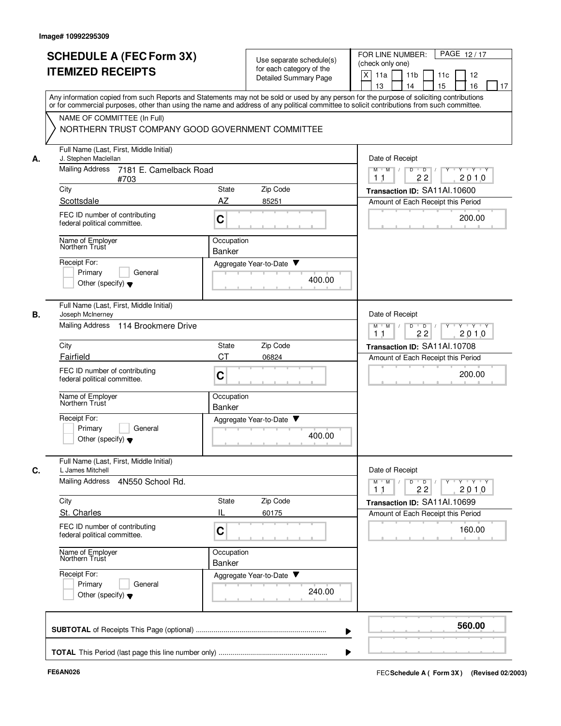|    | <b>SCHEDULE A (FEC Form 3X)</b><br><b>ITEMIZED RECEIPTS</b>                                                                                                                                                                                                                             |                                                                                       | Use separate schedule(s)<br>for each category of the<br>Detailed Summary Page | PAGE 12/17<br>FOR LINE NUMBER:<br>(check only one)<br>X<br>11 <sub>b</sub><br>11a<br>11c<br>12<br>14<br>15<br>16<br>13<br>17 |
|----|-----------------------------------------------------------------------------------------------------------------------------------------------------------------------------------------------------------------------------------------------------------------------------------------|---------------------------------------------------------------------------------------|-------------------------------------------------------------------------------|------------------------------------------------------------------------------------------------------------------------------|
|    | Any information copied from such Reports and Statements may not be sold or used by any person for the purpose of soliciting contributions<br>or for commercial purposes, other than using the name and address of any political committee to solicit contributions from such committee. |                                                                                       |                                                                               |                                                                                                                              |
|    | NAME OF COMMITTEE (In Full)<br>NORTHERN TRUST COMPANY GOOD GOVERNMENT COMMITTEE                                                                                                                                                                                                         |                                                                                       |                                                                               |                                                                                                                              |
| А. | Full Name (Last, First, Middle Initial)<br>J. Stephen Maclellan                                                                                                                                                                                                                         |                                                                                       |                                                                               | Date of Receipt                                                                                                              |
|    | <b>Mailing Address</b><br>7181 E. Camelback Road<br>#703                                                                                                                                                                                                                                | $\overline{D}$<br>$M$ $M$ /<br>$\overline{D}$<br>$Y - Y - Y$<br>Y<br>2010<br>11<br>22 |                                                                               |                                                                                                                              |
|    | City                                                                                                                                                                                                                                                                                    | State                                                                                 | Zip Code                                                                      | Transaction ID: SA11Al.10600                                                                                                 |
|    | Scottsdale<br>FEC ID number of contributing<br>federal political committee.                                                                                                                                                                                                             | AZ<br>C                                                                               | 85251                                                                         | Amount of Each Receipt this Period<br>200.00                                                                                 |
|    | Name of Employer<br>Northern Trust                                                                                                                                                                                                                                                      | Occupation<br><b>Banker</b>                                                           |                                                                               |                                                                                                                              |
|    | Receipt For:<br>Primary<br>General<br>Other (specify) $\blacktriangledown$                                                                                                                                                                                                              |                                                                                       | Aggregate Year-to-Date ▼<br>400.00                                            |                                                                                                                              |
| В. | Full Name (Last, First, Middle Initial)<br>Joseph McInerney<br>Mailing Address<br>114 Brookmere Drive                                                                                                                                                                                   |                                                                                       |                                                                               | Date of Receipt<br>$Y + Y + Y$<br>M<br>D<br>$\overline{D}$<br>M                                                              |
|    | City                                                                                                                                                                                                                                                                                    | 22<br>2010<br>11                                                                      |                                                                               |                                                                                                                              |
|    | Fairfield                                                                                                                                                                                                                                                                               | State<br><b>CT</b>                                                                    | Zip Code<br>06824                                                             | Transaction ID: SA11Al.10708<br>Amount of Each Receipt this Period                                                           |
|    | FEC ID number of contributing<br>federal political committee.                                                                                                                                                                                                                           | C                                                                                     |                                                                               | 200.00                                                                                                                       |
|    | Name of Employer<br>Northern Trust                                                                                                                                                                                                                                                      | Occupation<br>Banker                                                                  |                                                                               |                                                                                                                              |
|    | Receipt For:<br>Primary<br>General<br>Other (specify) $\blacktriangledown$                                                                                                                                                                                                              |                                                                                       | Aggregate Year-to-Date<br>400.00                                              |                                                                                                                              |
|    | Full Name (Last, First, Middle Initial)<br>L James Mitchell                                                                                                                                                                                                                             |                                                                                       |                                                                               | Date of Receipt                                                                                                              |
|    | <b>Mailing Address</b><br>4N550 School Rd.                                                                                                                                                                                                                                              |                                                                                       |                                                                               | YULYULYULY<br>D<br>$\Box$<br>$M$ $M$ /<br>2010<br>22<br>11                                                                   |
|    | City                                                                                                                                                                                                                                                                                    | State                                                                                 | Zip Code                                                                      | Transaction ID: SA11Al.10699                                                                                                 |
|    | St. Charles                                                                                                                                                                                                                                                                             | IL                                                                                    | 60175                                                                         | Amount of Each Receipt this Period                                                                                           |
|    | FEC ID number of contributing<br>federal political committee.                                                                                                                                                                                                                           | C                                                                                     |                                                                               | 160.00                                                                                                                       |
|    | Name of Employer<br>Northern Trust                                                                                                                                                                                                                                                      | Occupation<br>Banker                                                                  |                                                                               |                                                                                                                              |
|    | Receipt For:<br>Primary<br>General<br>Other (specify) $\blacktriangledown$                                                                                                                                                                                                              |                                                                                       | Aggregate Year-to-Date<br>240.00                                              |                                                                                                                              |
|    |                                                                                                                                                                                                                                                                                         |                                                                                       |                                                                               | 560.00                                                                                                                       |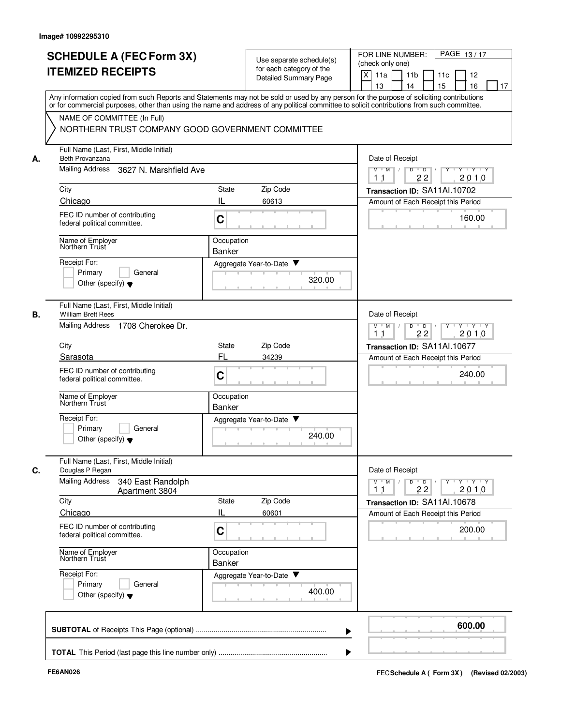|    | <b>SCHEDULE A (FEC Form 3X)</b><br><b>ITEMIZED RECEIPTS</b>                                                                                                                                                                                                                             |                                                                    | Use separate schedule(s)<br>for each category of the<br>Detailed Summary Page | PAGE 13/17<br>FOR LINE NUMBER:<br>(check only one)<br>X<br>11a<br>11 <sub>b</sub><br>11c<br>12<br>15<br>13<br>14<br>16<br>17 |
|----|-----------------------------------------------------------------------------------------------------------------------------------------------------------------------------------------------------------------------------------------------------------------------------------------|--------------------------------------------------------------------|-------------------------------------------------------------------------------|------------------------------------------------------------------------------------------------------------------------------|
|    | Any information copied from such Reports and Statements may not be sold or used by any person for the purpose of soliciting contributions<br>or for commercial purposes, other than using the name and address of any political committee to solicit contributions from such committee. |                                                                    |                                                                               |                                                                                                                              |
|    | NAME OF COMMITTEE (In Full)<br>NORTHERN TRUST COMPANY GOOD GOVERNMENT COMMITTEE                                                                                                                                                                                                         |                                                                    |                                                                               |                                                                                                                              |
| А. | Full Name (Last, First, Middle Initial)<br>Beth Provanzana                                                                                                                                                                                                                              |                                                                    |                                                                               | Date of Receipt                                                                                                              |
|    | Mailing Address<br>3627 N. Marshfield Ave                                                                                                                                                                                                                                               | $M$ $M$ /<br>D<br>$\Box$ D $\Box$ /<br>Y Y Y Y<br>2010<br>22<br>11 |                                                                               |                                                                                                                              |
|    | City                                                                                                                                                                                                                                                                                    | State                                                              | Zip Code                                                                      | Transaction ID: SA11Al.10702                                                                                                 |
|    | Chicago                                                                                                                                                                                                                                                                                 | IL                                                                 | 60613                                                                         | Amount of Each Receipt this Period                                                                                           |
|    | FEC ID number of contributing<br>federal political committee.                                                                                                                                                                                                                           | C                                                                  |                                                                               | 160.00                                                                                                                       |
|    | Name of Employer<br>Northern Trust                                                                                                                                                                                                                                                      | Occupation<br>Banker                                               |                                                                               |                                                                                                                              |
|    | Receipt For:                                                                                                                                                                                                                                                                            |                                                                    | Aggregate Year-to-Date ▼                                                      |                                                                                                                              |
|    | Primary<br>General<br>Other (specify) $\blacktriangledown$                                                                                                                                                                                                                              |                                                                    | 320.00                                                                        |                                                                                                                              |
| В. | Full Name (Last, First, Middle Initial)<br><b>William Brett Rees</b>                                                                                                                                                                                                                    |                                                                    |                                                                               | Date of Receipt                                                                                                              |
|    | <b>Mailing Address</b><br>1708 Cherokee Dr.                                                                                                                                                                                                                                             | Y Y Y Y<br>$M$ M<br>D<br>$\overline{D}$<br>Y<br>22<br>2010<br>11   |                                                                               |                                                                                                                              |
|    | City                                                                                                                                                                                                                                                                                    | State                                                              | Zip Code                                                                      | Transaction ID: SA11AI.10677                                                                                                 |
|    | Sarasota                                                                                                                                                                                                                                                                                | FL                                                                 | 34239                                                                         | Amount of Each Receipt this Period                                                                                           |
|    | FEC ID number of contributing<br>federal political committee.                                                                                                                                                                                                                           | C                                                                  |                                                                               | 240.00                                                                                                                       |
|    | Name of Employer<br>Northern Trust                                                                                                                                                                                                                                                      | Occupation<br>Banker                                               |                                                                               |                                                                                                                              |
|    | Receipt For:<br>Primary<br>General<br>Other (specify) $\blacktriangledown$                                                                                                                                                                                                              |                                                                    | Aggregate Year-to-Date<br>240.00                                              |                                                                                                                              |
|    | Full Name (Last, First, Middle Initial)<br>Douglas P Regan                                                                                                                                                                                                                              |                                                                    |                                                                               | Date of Receipt                                                                                                              |
| C. | <b>Mailing Address</b><br>340 East Randolph<br>Apartment 3804                                                                                                                                                                                                                           |                                                                    |                                                                               | $\mathsf{Y} \dashv \mathsf{Y} \dashv \mathsf{Y}$<br>$M$ $M$<br>$Y$ <sup>-1</sup><br>D<br>$\overline{D}$<br>2010<br>22<br>11  |
|    | City                                                                                                                                                                                                                                                                                    | State                                                              | Zip Code                                                                      | Transaction ID: SA11Al.10678                                                                                                 |
|    | Chicago                                                                                                                                                                                                                                                                                 | IL                                                                 | 60601                                                                         | Amount of Each Receipt this Period                                                                                           |
|    | FEC ID number of contributing<br>federal political committee.                                                                                                                                                                                                                           | C                                                                  |                                                                               | 200.00                                                                                                                       |
|    | Name of Employer<br>Northern Trust                                                                                                                                                                                                                                                      | Occupation<br>Banker                                               |                                                                               |                                                                                                                              |
|    | Receipt For:<br>Primary<br>General<br>Other (specify) $\blacktriangledown$                                                                                                                                                                                                              |                                                                    | Aggregate Year-to-Date<br>400.00                                              |                                                                                                                              |
|    |                                                                                                                                                                                                                                                                                         |                                                                    |                                                                               | 600.00                                                                                                                       |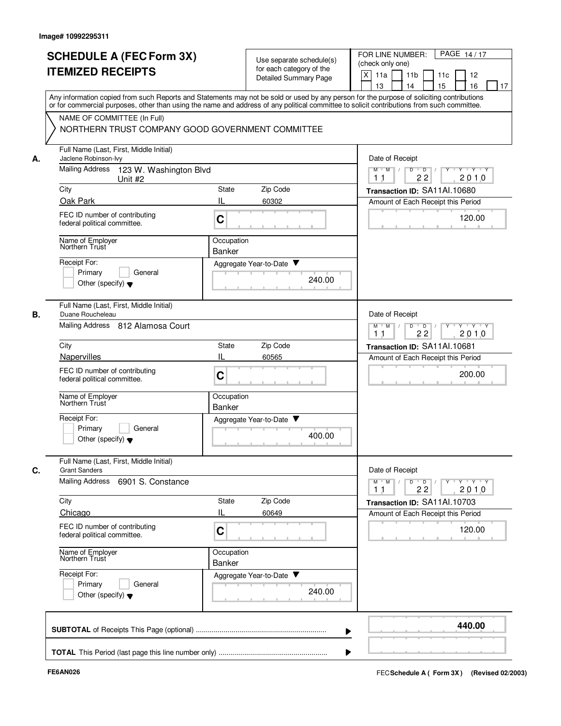|    | <b>SCHEDULE A (FEC Form 3X)</b><br><b>ITEMIZED RECEIPTS</b>                                                                                                                                                                                                                             |                                                               | Use separate schedule(s)<br>for each category of the<br>Detailed Summary Page | PAGE 14/17<br>FOR LINE NUMBER:<br>(check only one)<br>X<br>11a<br>11 <sub>b</sub><br>11c<br>12<br>13<br>14<br>15<br>16<br>17 |
|----|-----------------------------------------------------------------------------------------------------------------------------------------------------------------------------------------------------------------------------------------------------------------------------------------|---------------------------------------------------------------|-------------------------------------------------------------------------------|------------------------------------------------------------------------------------------------------------------------------|
|    | Any information copied from such Reports and Statements may not be sold or used by any person for the purpose of soliciting contributions<br>or for commercial purposes, other than using the name and address of any political committee to solicit contributions from such committee. |                                                               |                                                                               |                                                                                                                              |
|    | NAME OF COMMITTEE (In Full)<br>NORTHERN TRUST COMPANY GOOD GOVERNMENT COMMITTEE                                                                                                                                                                                                         |                                                               |                                                                               |                                                                                                                              |
| А. | Full Name (Last, First, Middle Initial)<br>Jaclene Robinson-lvy                                                                                                                                                                                                                         |                                                               |                                                                               | Date of Receipt                                                                                                              |
|    | <b>Mailing Address</b><br>123 W. Washington Blvd<br>Unit #2                                                                                                                                                                                                                             |                                                               |                                                                               | $M$ $M$ /<br>D<br>$\overline{D}$ /<br>Y Y Y Y<br>2010<br>1 <sub>1</sub><br>22                                                |
|    | City                                                                                                                                                                                                                                                                                    | State                                                         | Zip Code                                                                      | Transaction ID: SA11Al.10680                                                                                                 |
|    | Oak Park                                                                                                                                                                                                                                                                                | IL                                                            | 60302                                                                         | Amount of Each Receipt this Period                                                                                           |
|    | FEC ID number of contributing<br>federal political committee.                                                                                                                                                                                                                           | $\mathbf C$                                                   |                                                                               | 120.00<br>$\sim$ 0.1                                                                                                         |
|    | Name of Employer<br>Northern Trust                                                                                                                                                                                                                                                      | Occupation<br><b>Banker</b>                                   |                                                                               |                                                                                                                              |
|    | Receipt For:                                                                                                                                                                                                                                                                            |                                                               | Aggregate Year-to-Date ▼                                                      |                                                                                                                              |
|    | Primary<br>General<br>Other (specify) $\blacktriangledown$                                                                                                                                                                                                                              |                                                               | 240.00                                                                        |                                                                                                                              |
|    | Full Name (Last, First, Middle Initial)<br>Duane Roucheleau                                                                                                                                                                                                                             |                                                               |                                                                               | Date of Receipt                                                                                                              |
|    | Mailing Address 812 Alamosa Court                                                                                                                                                                                                                                                       | $Y + Y + Y$<br>M<br>M<br>D<br>$\mathsf D$<br>22<br>2010<br>11 |                                                                               |                                                                                                                              |
|    | City                                                                                                                                                                                                                                                                                    | State                                                         | Zip Code                                                                      | Transaction ID: SA11AI.10681                                                                                                 |
|    | Napervilles                                                                                                                                                                                                                                                                             | IL                                                            | 60565                                                                         | Amount of Each Receipt this Period                                                                                           |
|    | FEC ID number of contributing<br>federal political committee.                                                                                                                                                                                                                           | C                                                             |                                                                               | 200.00                                                                                                                       |
|    | Name of Employer<br>Northern Trust                                                                                                                                                                                                                                                      | Occupation<br>Banker                                          |                                                                               |                                                                                                                              |
|    | Receipt For:<br>Primary<br>General<br>Other (specify) $\blacktriangledown$                                                                                                                                                                                                              |                                                               | Aggregate Year-to-Date<br>400.00                                              |                                                                                                                              |
|    | Full Name (Last, First, Middle Initial)<br><b>Grant Sanders</b>                                                                                                                                                                                                                         |                                                               |                                                                               | Date of Receipt                                                                                                              |
|    | Mailing Address<br>6901 S. Constance                                                                                                                                                                                                                                                    |                                                               |                                                                               | $Y + Y + Y$<br>$M$ $M$<br>D<br>$\overline{D}$<br>22<br>2010<br>11                                                            |
|    | City                                                                                                                                                                                                                                                                                    | State                                                         | Zip Code                                                                      | Transaction ID: SA11Al.10703                                                                                                 |
|    | Chicago                                                                                                                                                                                                                                                                                 | IL                                                            | 60649                                                                         | Amount of Each Receipt this Period                                                                                           |
|    | FEC ID number of contributing<br>federal political committee.                                                                                                                                                                                                                           | C                                                             |                                                                               | 120.00                                                                                                                       |
|    | Name of Employer<br>Northern Trust                                                                                                                                                                                                                                                      | Occupation<br><b>Banker</b>                                   |                                                                               |                                                                                                                              |
|    | Receipt For:<br>Primary<br>General<br>Other (specify) $\blacktriangledown$                                                                                                                                                                                                              |                                                               | Aggregate Year-to-Date ▼<br>240.00                                            |                                                                                                                              |
|    |                                                                                                                                                                                                                                                                                         |                                                               |                                                                               | 440.00                                                                                                                       |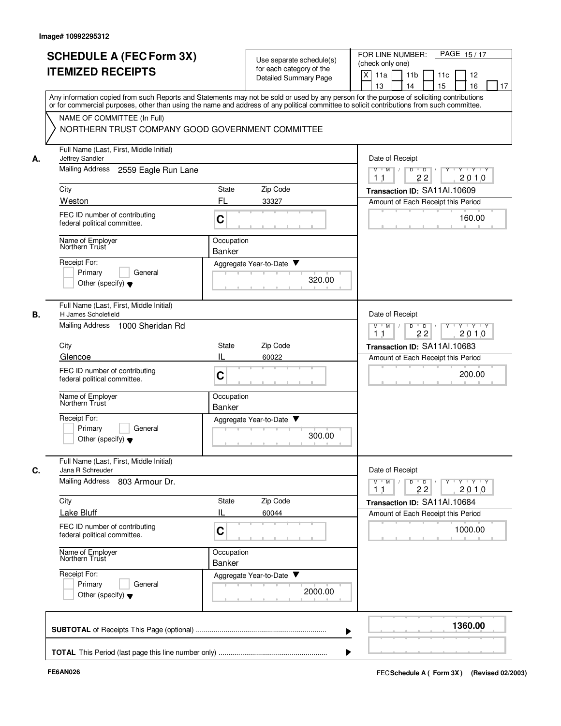|    |                                                                                                                                                                                                                                                                                         |                                                                                   |                                                   | PAGE 15/17<br>FOR LINE NUMBER:                                                                                              |
|----|-----------------------------------------------------------------------------------------------------------------------------------------------------------------------------------------------------------------------------------------------------------------------------------------|-----------------------------------------------------------------------------------|---------------------------------------------------|-----------------------------------------------------------------------------------------------------------------------------|
|    | <b>SCHEDULE A (FEC Form 3X)</b>                                                                                                                                                                                                                                                         |                                                                                   | Use separate schedule(s)                          | (check only one)                                                                                                            |
|    | <b>ITEMIZED RECEIPTS</b>                                                                                                                                                                                                                                                                |                                                                                   | for each category of the<br>Detailed Summary Page | X<br>11a<br>11 <sub>b</sub><br>11c<br>12                                                                                    |
|    |                                                                                                                                                                                                                                                                                         |                                                                                   |                                                   | 15<br>13<br>14<br>16<br>17                                                                                                  |
|    | Any information copied from such Reports and Statements may not be sold or used by any person for the purpose of soliciting contributions<br>or for commercial purposes, other than using the name and address of any political committee to solicit contributions from such committee. |                                                                                   |                                                   |                                                                                                                             |
|    | NAME OF COMMITTEE (In Full)                                                                                                                                                                                                                                                             |                                                                                   |                                                   |                                                                                                                             |
|    | NORTHERN TRUST COMPANY GOOD GOVERNMENT COMMITTEE                                                                                                                                                                                                                                        |                                                                                   |                                                   |                                                                                                                             |
| А. | Full Name (Last, First, Middle Initial)<br>Jeffrey Sandler                                                                                                                                                                                                                              |                                                                                   |                                                   | Date of Receipt                                                                                                             |
|    | Mailing Address<br>2559 Eagle Run Lane                                                                                                                                                                                                                                                  | $M$ $M$ /<br>D<br>$\overline{D}$ /<br>$Y - Y - Y$<br>22<br>2010<br>1 <sub>1</sub> |                                                   |                                                                                                                             |
|    | City                                                                                                                                                                                                                                                                                    | State                                                                             | Zip Code                                          | Transaction ID: SA11Al.10609                                                                                                |
|    | Weston                                                                                                                                                                                                                                                                                  | FL                                                                                | 33327                                             | Amount of Each Receipt this Period                                                                                          |
|    | FEC ID number of contributing<br>federal political committee.                                                                                                                                                                                                                           | C                                                                                 |                                                   | 160.00                                                                                                                      |
|    | Name of Employer<br>Northern Trust                                                                                                                                                                                                                                                      | Occupation                                                                        |                                                   |                                                                                                                             |
|    |                                                                                                                                                                                                                                                                                         | Banker                                                                            |                                                   |                                                                                                                             |
|    | Receipt For:<br>Primary<br>General                                                                                                                                                                                                                                                      | Aggregate Year-to-Date ▼                                                          |                                                   |                                                                                                                             |
|    | Other (specify) $\blacktriangledown$                                                                                                                                                                                                                                                    |                                                                                   | 320.00                                            |                                                                                                                             |
| В. | Full Name (Last, First, Middle Initial)<br>H James Scholefield                                                                                                                                                                                                                          |                                                                                   |                                                   | Date of Receipt                                                                                                             |
|    | <b>Mailing Address</b><br>1000 Sheridan Rd                                                                                                                                                                                                                                              | $Y$ $Y$ $Y$<br>$M$ M<br>D<br>$\overline{D}$<br>Y<br>2010<br>22<br>11              |                                                   |                                                                                                                             |
|    | City                                                                                                                                                                                                                                                                                    | <b>State</b>                                                                      | Zip Code                                          | Transaction ID: SA11AI.10683                                                                                                |
|    | Glencoe                                                                                                                                                                                                                                                                                 | IL                                                                                | 60022                                             | Amount of Each Receipt this Period                                                                                          |
|    | FEC ID number of contributing<br>federal political committee.                                                                                                                                                                                                                           | C                                                                                 |                                                   | 200.00                                                                                                                      |
|    | Name of Employer<br>Northern Trust                                                                                                                                                                                                                                                      | Occupation<br><b>Banker</b>                                                       |                                                   |                                                                                                                             |
|    | Receipt For:                                                                                                                                                                                                                                                                            | Aggregate Year-to-Date                                                            |                                                   |                                                                                                                             |
|    | Primary<br>General<br>Other (specify) $\blacktriangledown$                                                                                                                                                                                                                              |                                                                                   | 300.00                                            |                                                                                                                             |
|    | Full Name (Last, First, Middle Initial)                                                                                                                                                                                                                                                 |                                                                                   |                                                   |                                                                                                                             |
| C. | Jana R Schreuder<br><b>Mailing Address</b><br>803 Armour Dr.                                                                                                                                                                                                                            |                                                                                   |                                                   | Date of Receipt<br>$\mathsf{Y} \dashv \mathsf{Y} \dashv \mathsf{Y} \dashv \mathsf{Y}$<br>$M$ $M$ $/$<br>$\overline{D}$<br>D |
|    |                                                                                                                                                                                                                                                                                         |                                                                                   |                                                   | 22<br>2010<br>1 <sub>1</sub>                                                                                                |
|    | City<br>Lake Bluff                                                                                                                                                                                                                                                                      | State<br>IL                                                                       | Zip Code<br>60044                                 | Transaction ID: SA11Al.10684<br>Amount of Each Receipt this Period                                                          |
|    | FEC ID number of contributing<br>federal political committee.                                                                                                                                                                                                                           | C                                                                                 |                                                   | 1000.00                                                                                                                     |
|    | Name of Employer<br>Northern Trust                                                                                                                                                                                                                                                      | Occupation<br>Banker                                                              |                                                   |                                                                                                                             |
|    | Receipt For:                                                                                                                                                                                                                                                                            | Aggregate Year-to-Date                                                            |                                                   |                                                                                                                             |
|    | Primary<br>General<br>Other (specify) $\blacktriangledown$                                                                                                                                                                                                                              |                                                                                   | 2000.00                                           |                                                                                                                             |
|    |                                                                                                                                                                                                                                                                                         |                                                                                   |                                                   |                                                                                                                             |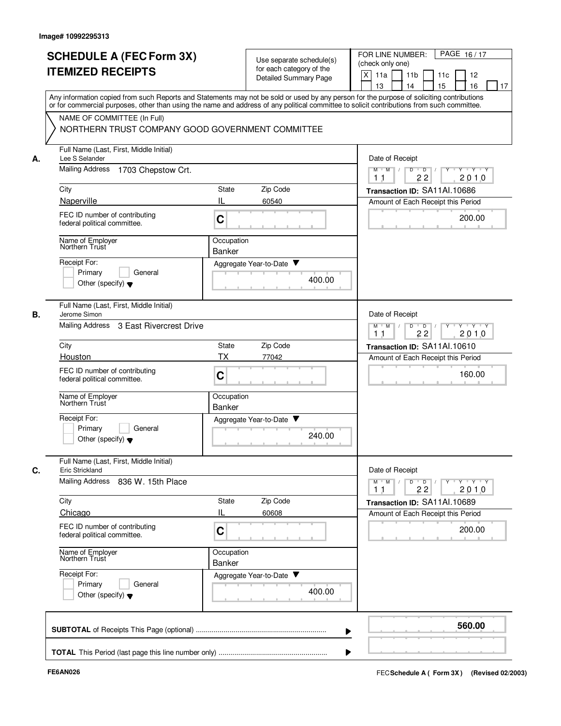|    | <b>SCHEDULE A (FEC Form 3X)</b><br><b>ITEMIZED RECEIPTS</b>                                                                                                                                                                                                                             | Use separate schedule(s)<br>for each category of the<br>Detailed Summary Page | PAGE 16/17<br>FOR LINE NUMBER:<br>(check only one)<br>X<br>11 <sub>b</sub><br>11a<br>11c<br>12                                                              |
|----|-----------------------------------------------------------------------------------------------------------------------------------------------------------------------------------------------------------------------------------------------------------------------------------------|-------------------------------------------------------------------------------|-------------------------------------------------------------------------------------------------------------------------------------------------------------|
|    | Any information copied from such Reports and Statements may not be sold or used by any person for the purpose of soliciting contributions<br>or for commercial purposes, other than using the name and address of any political committee to solicit contributions from such committee. |                                                                               | 15<br>13<br>14<br>16<br>17                                                                                                                                  |
|    | NAME OF COMMITTEE (In Full)<br>NORTHERN TRUST COMPANY GOOD GOVERNMENT COMMITTEE                                                                                                                                                                                                         |                                                                               |                                                                                                                                                             |
| А. | Full Name (Last, First, Middle Initial)<br>Lee S Selander                                                                                                                                                                                                                               |                                                                               | Date of Receipt                                                                                                                                             |
|    | <b>Mailing Address</b><br>1703 Chepstow Crt.                                                                                                                                                                                                                                            |                                                                               | <b>Y TY TY</b><br>$M$ $M$ /<br>D<br>$\overline{D}$ /<br>$Y$ <sup><math>\top</math></sup><br>22<br>2010<br>11                                                |
|    | City                                                                                                                                                                                                                                                                                    | Zip Code<br>State                                                             | Transaction ID: SA11Al.10686                                                                                                                                |
|    | Naperville<br>FEC ID number of contributing<br>federal political committee.                                                                                                                                                                                                             | IL<br>60540<br>C                                                              | Amount of Each Receipt this Period<br>200.00                                                                                                                |
|    | Name of Employer<br>Northern Trust                                                                                                                                                                                                                                                      | Occupation<br>Banker                                                          |                                                                                                                                                             |
|    | Receipt For:<br>Primary<br>General<br>Other (specify) $\blacktriangledown$                                                                                                                                                                                                              | Aggregate Year-to-Date ▼<br>400.00                                            |                                                                                                                                                             |
| В. | Full Name (Last, First, Middle Initial)<br>Jerome Simon<br>Mailing Address                                                                                                                                                                                                              |                                                                               | Date of Receipt                                                                                                                                             |
|    | 3 East Rivercrest Drive                                                                                                                                                                                                                                                                 | $Y + Y + Y$<br>$M$ M<br>D<br>$\overline{D}$<br>2010<br>1 <sub>1</sub><br>22   |                                                                                                                                                             |
|    | City                                                                                                                                                                                                                                                                                    | Zip Code<br>State<br><b>TX</b>                                                | Transaction ID: SA11Al.10610                                                                                                                                |
|    | Houston<br>FEC ID number of contributing<br>federal political committee.                                                                                                                                                                                                                | 77042<br>C                                                                    | Amount of Each Receipt this Period<br>160.00                                                                                                                |
|    | Name of Employer<br>Northern Trust                                                                                                                                                                                                                                                      | Occupation<br><b>Banker</b>                                                   |                                                                                                                                                             |
|    | Receipt For:<br>Primary<br>General<br>Other (specify) $\blacktriangledown$                                                                                                                                                                                                              | Aggregate Year-to-Date<br>240.00                                              |                                                                                                                                                             |
| C. | Full Name (Last, First, Middle Initial)<br>Eric Strickland                                                                                                                                                                                                                              |                                                                               | Date of Receipt                                                                                                                                             |
|    | Mailing Address 836 W. 15th Place                                                                                                                                                                                                                                                       |                                                                               | $\mathsf{Y} \dashv \mathsf{Y} \dashv \mathsf{Y}$<br>$M$ $M$<br>D<br>$\overline{D}$<br>$Y$ <sup><math>\top</math></sup><br>$\frac{1}{2}$<br>2010<br>22<br>11 |
|    | City<br>Chicago                                                                                                                                                                                                                                                                         | Zip Code<br>State<br>IL<br>60608                                              | Transaction ID: SA11Al.10689<br>Amount of Each Receipt this Period                                                                                          |
|    | FEC ID number of contributing<br>federal political committee.                                                                                                                                                                                                                           | C                                                                             | 200.00                                                                                                                                                      |
|    | Name of Employer<br>Northern Trust                                                                                                                                                                                                                                                      | Occupation<br>Banker                                                          |                                                                                                                                                             |
|    | Receipt For:<br>Primary<br>General<br>Other (specify) $\blacktriangledown$                                                                                                                                                                                                              | Aggregate Year-to-Date<br>400.00                                              |                                                                                                                                                             |
|    |                                                                                                                                                                                                                                                                                         |                                                                               | 560.00                                                                                                                                                      |